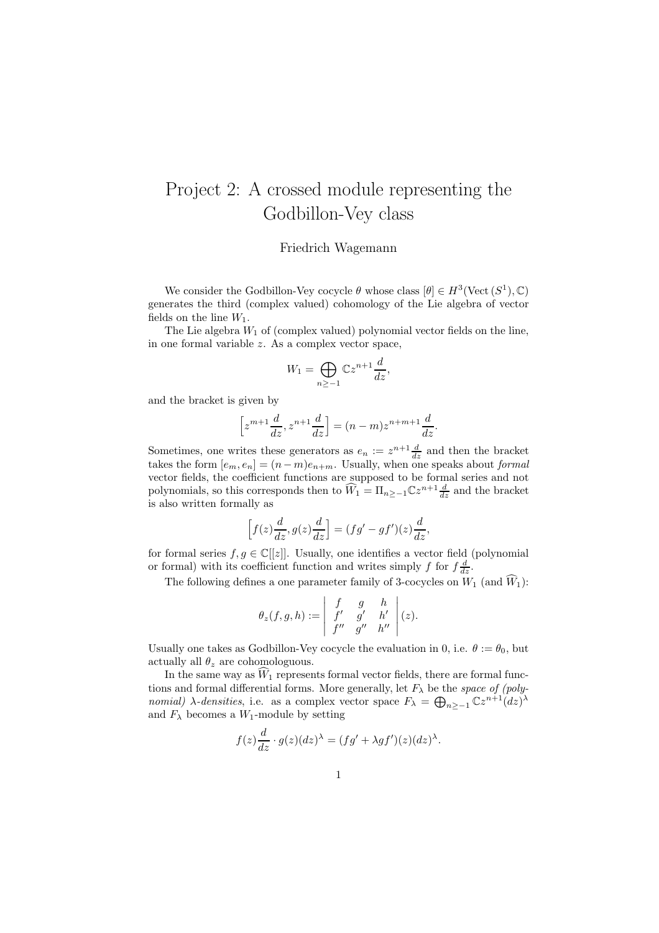## Project 2: A crossed module representing the Godbillon-Vey class

## Friedrich Wagemann

We consider the Godbillon-Vey cocycle  $\theta$  whose class  $[\theta] \in H^3(\text{Vect}(S^1), \mathbb{C})$ generates the third (complex valued) cohomology of the Lie algebra of vector fields on the line  $W_1$ .

The Lie algebra  $W_1$  of (complex valued) polynomial vector fields on the line, in one formal variable z. As a complex vector space,

$$
W_1 = \bigoplus_{n \ge -1} \mathbb{C} z^{n+1} \frac{d}{dz},
$$

and the bracket is given by

$$
\[z^{m+1}\frac{d}{dz}, z^{n+1}\frac{d}{dz}\] = (n-m)z^{n+m+1}\frac{d}{dz}.
$$

Sometimes, one writes these generators as  $e_n := z^{n+1} \frac{d}{dz}$  and then the bracket takes the form  $[e_m, e_n] = (n - m)e_{n+m}$ . Usually, when one speaks about *formal* vector fields, the coefficient functions are supposed to be formal series and not polynomials, so this corresponds then to  $\widehat{W}_1 = \prod_{n \geq -1} \mathbb{C}z^{n+1} \frac{d}{dz}$  and the bracket is also written formally as

$$
\[f(z)\frac{d}{dz}, g(z)\frac{d}{dz}\] = (fg' - gf')(z)\frac{d}{dz},\]
$$

for formal series  $f, g \in \mathbb{C}[[z]]$ . Usually, one identifies a vector field (polynomial or formal) with its coefficient function and writes simply f for  $f\frac{d}{dz}$ .

The following defines a one parameter family of 3-cocycles on  $W_1$  (and  $\widehat{W}_1$ ):

$$
\theta_z(f,g,h):=\left|\begin{array}{ccc} f & g & h\\ f' & g' & h'\\ f'' & g'' & h''\end{array}\right|(z).
$$

Usually one takes as Godbillon-Vey cocycle the evaluation in 0, i.e.  $\theta := \theta_0$ , but actually all  $\theta_z$  are cohomologuous.

In the same way as  $\hat{W}_1$  represents formal vector fields, there are formal functions and formal differential forms. More generally, let  $F_{\lambda}$  be the space of (polynomial)  $\lambda$ -densities, i.e. as a complex vector space  $F_{\lambda} = \bigoplus_{n \geq -1} \mathbb{C}z^{n+1}(dz)^{\lambda}$ and  $F_{\lambda}$  becomes a  $W_1$ -module by setting

$$
f(z)\frac{d}{dz}\cdot g(z)(dz)^{\lambda} = (fg' + \lambda gf')(z)(dz)^{\lambda}.
$$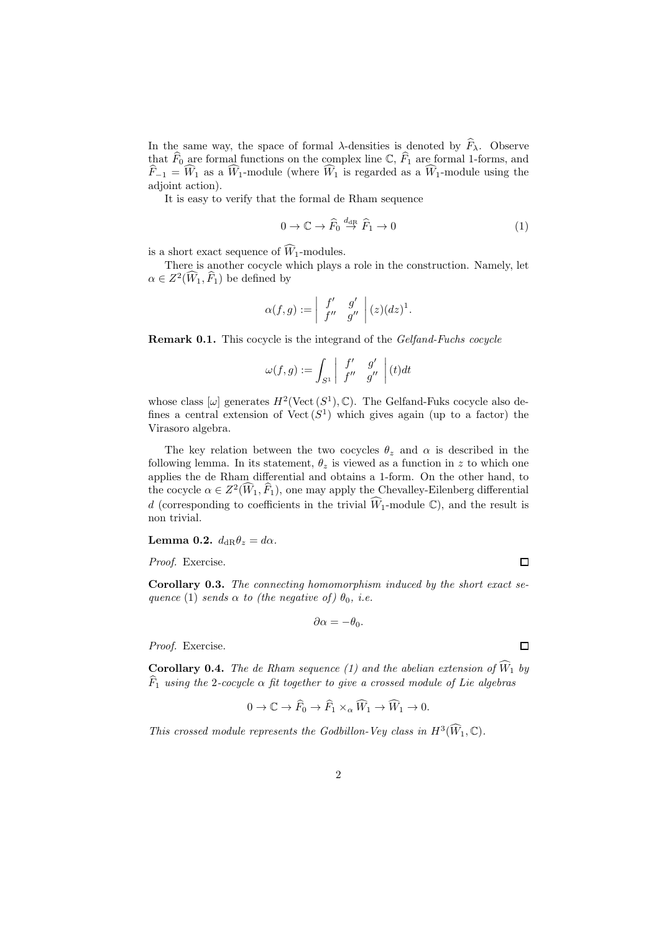In the same way, the space of formal  $\lambda$ -densities is denoted by  $\widehat{F}_{\lambda}$ . Observe that  $\widehat{F}_0$  are formal functions on the complex line  $\mathbb{C}, \widehat{F}_1$  are formal 1-forms, and  $\widehat{F}_{-1} = \widehat{W}_1$  as a  $\widehat{W}_1$ -module (where  $\widehat{W}_1$  is regarded as a  $\widehat{W}_1$ -module using the adjoint action).

It is easy to verify that the formal de Rham sequence

$$
0 \to \mathbb{C} \to \widehat{F}_0 \stackrel{d_{\text{dR}}}{\to} \widehat{F}_1 \to 0 \tag{1}
$$

is a short exact sequence of  $\widehat{W}_1$ -modules.

There is another cocycle which plays a role in the construction. Namely, let  $\alpha \in Z^2(\widehat{W}_1, \widehat{F}_1)$  be defined by

$$
\alpha(f,g):=\left|\begin{array}{cc}f'&g'\\f''&g''\end{array}\right|(z)(dz)^1.
$$

Remark 0.1. This cocycle is the integrand of the Gelfand-Fuchs cocycle

$$
\omega(f,g):=\int_{S^1}\left|\begin{array}{cc}f'&g'\\f''&g''\end{array}\right|(t)dt
$$

whose class  $[\omega]$  generates  $H^2(\text{Vect } (S^1), \mathbb{C})$ . The Gelfand-Fuks cocycle also defines a central extension of  $Vect(S^1)$  which gives again (up to a factor) the Virasoro algebra.

The key relation between the two cocycles  $\theta_z$  and  $\alpha$  is described in the following lemma. In its statement,  $\theta_z$  is viewed as a function in z to which one applies the de Rham differential and obtains a 1-form. On the other hand, to the cocycle  $\alpha \in Z^2(\widehat{W}_1, \widehat{F}_1)$ , one may apply the Chevalley-Eilenberg differential d (corresponding to coefficients in the trivial  $\widehat{W}_1$ -module  $\mathbb{C}$ ), and the result is non trivial.

Lemma 0.2.  $d_{\text{dR}}\theta_z = d\alpha$ .

Proof. Exercise.

Corollary 0.3. The connecting homomorphism induced by the short exact sequence (1) sends  $\alpha$  to (the negative of)  $\theta_0$ , i.e.

$$
\partial \alpha = -\theta_0.
$$

Proof. Exercise.

**Corollary 0.4.** The de Rham sequence (1) and the abelian extension of  $\widehat{W}_1$  by  $\widehat{F}_1$  using the 2-cocycle  $\alpha$  fit together to give a crossed module of Lie algebras

$$
0 \to \mathbb{C} \to \widehat{F}_0 \to \widehat{F}_1 \times_{\alpha} \widehat{W}_1 \to \widehat{W}_1 \to 0.
$$

This crossed module represents the Godbillon-Vey class in  $H^3(\widehat{W}_1,\mathbb{C})$ .

 $\Box$ 

 $\Box$